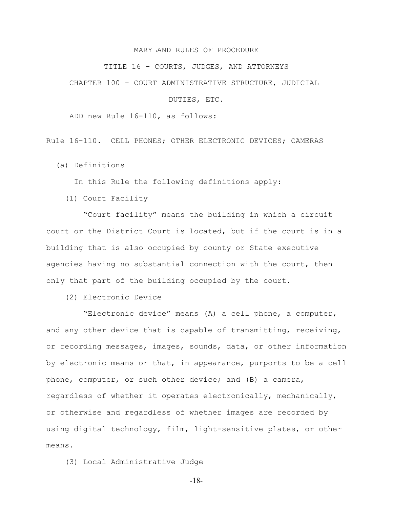## MARYLAND RULES OF PROCEDURE

TITLE 16 - COURTS, JUDGES, AND ATTORNEYS

CHAPTER 100 - COURT ADMINISTRATIVE STRUCTURE, JUDICIAL

DUTIES, ETC.

ADD new Rule 16-110, as follows:

Rule 16-110. CELL PHONES; OTHER ELECTRONIC DEVICES; CAMERAS

(a) Definitions

In this Rule the following definitions apply:

(1) Court Facility

 "Court facility" means the building in which a circuit court or the District Court is located, but if the court is in a building that is also occupied by county or State executive agencies having no substantial connection with the court, then only that part of the building occupied by the court.

(2) Electronic Device

 "Electronic device" means (A) a cell phone, a computer, and any other device that is capable of transmitting, receiving, or recording messages, images, sounds, data, or other information by electronic means or that, in appearance, purports to be a cell phone, computer, or such other device; and (B) a camera, regardless of whether it operates electronically, mechanically, or otherwise and regardless of whether images are recorded by using digital technology, film, light-sensitive plates, or other means.

(3) Local Administrative Judge

-18-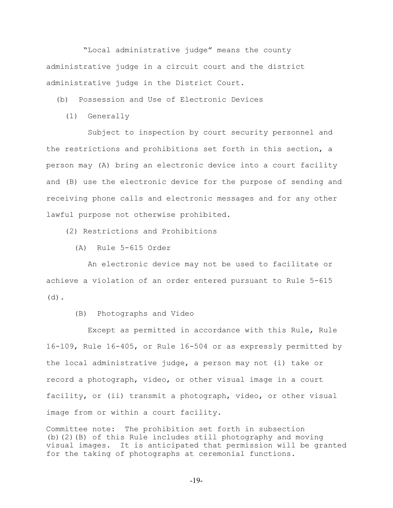"Local administrative judge" means the county administrative judge in a circuit court and the district administrative judge in the District Court.

(b) Possession and Use of Electronic Devices

(1) Generally

 Subject to inspection by court security personnel and the restrictions and prohibitions set forth in this section, a person may (A) bring an electronic device into a court facility and (B) use the electronic device for the purpose of sending and receiving phone calls and electronic messages and for any other lawful purpose not otherwise prohibited.

(2) Restrictions and Prohibitions

(A) Rule 5-615 Order

 An electronic device may not be used to facilitate or achieve a violation of an order entered pursuant to Rule 5-615 (d).

(B) Photographs and Video

 Except as permitted in accordance with this Rule, Rule 16-109, Rule 16-405, or Rule 16-504 or as expressly permitted by the local administrative judge, a person may not (i) take or record a photograph, video, or other visual image in a court facility, or (ii) transmit a photograph, video, or other visual image from or within a court facility.

Committee note: The prohibition set forth in subsection (b)(2)(B) of this Rule includes still photography and moving visual images. It is anticipated that permission will be granted for the taking of photographs at ceremonial functions.

-19-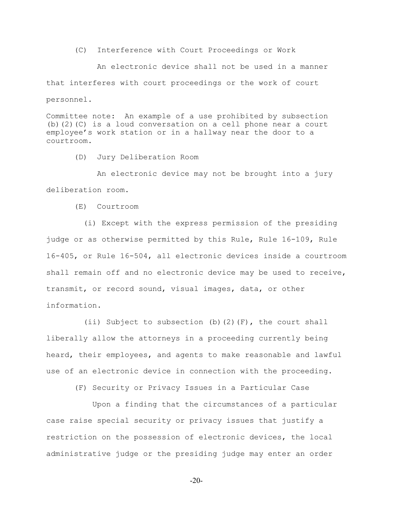(C) Interference with Court Proceedings or Work

 An electronic device shall not be used in a manner that interferes with court proceedings or the work of court personnel.

Committee note: An example of a use prohibited by subsection (b)(2)(C) is a loud conversation on a cell phone near a court employee's work station or in a hallway near the door to a courtroom.

(D) Jury Deliberation Room

 An electronic device may not be brought into a jury deliberation room.

(E) Courtroom

 (i) Except with the express permission of the presiding judge or as otherwise permitted by this Rule, Rule 16-109, Rule 16-405, or Rule 16-504, all electronic devices inside a courtroom shall remain off and no electronic device may be used to receive, transmit, or record sound, visual images, data, or other information.

(ii) Subject to subsection (b)(2)(F), the court shall liberally allow the attorneys in a proceeding currently being heard, their employees, and agents to make reasonable and lawful use of an electronic device in connection with the proceeding.

(F) Security or Privacy Issues in a Particular Case

 Upon a finding that the circumstances of a particular case raise special security or privacy issues that justify a restriction on the possession of electronic devices, the local administrative judge or the presiding judge may enter an order

-20-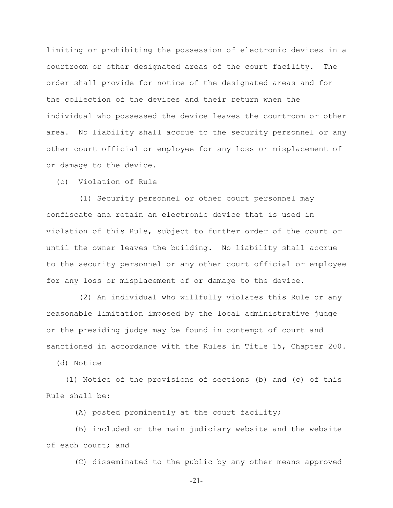limiting or prohibiting the possession of electronic devices in a courtroom or other designated areas of the court facility. The order shall provide for notice of the designated areas and for the collection of the devices and their return when the individual who possessed the device leaves the courtroom or other area. No liability shall accrue to the security personnel or any other court official or employee for any loss or misplacement of or damage to the device.

(c) Violation of Rule

 (1) Security personnel or other court personnel may confiscate and retain an electronic device that is used in violation of this Rule, subject to further order of the court or until the owner leaves the building. No liability shall accrue to the security personnel or any other court official or employee for any loss or misplacement of or damage to the device.

 (2) An individual who willfully violates this Rule or any reasonable limitation imposed by the local administrative judge or the presiding judge may be found in contempt of court and sanctioned in accordance with the Rules in Title 15, Chapter 200.

(d) Notice

 (1) Notice of the provisions of sections (b) and (c) of this Rule shall be:

(A) posted prominently at the court facility;

 (B) included on the main judiciary website and the website of each court; and

(C) disseminated to the public by any other means approved

-21-